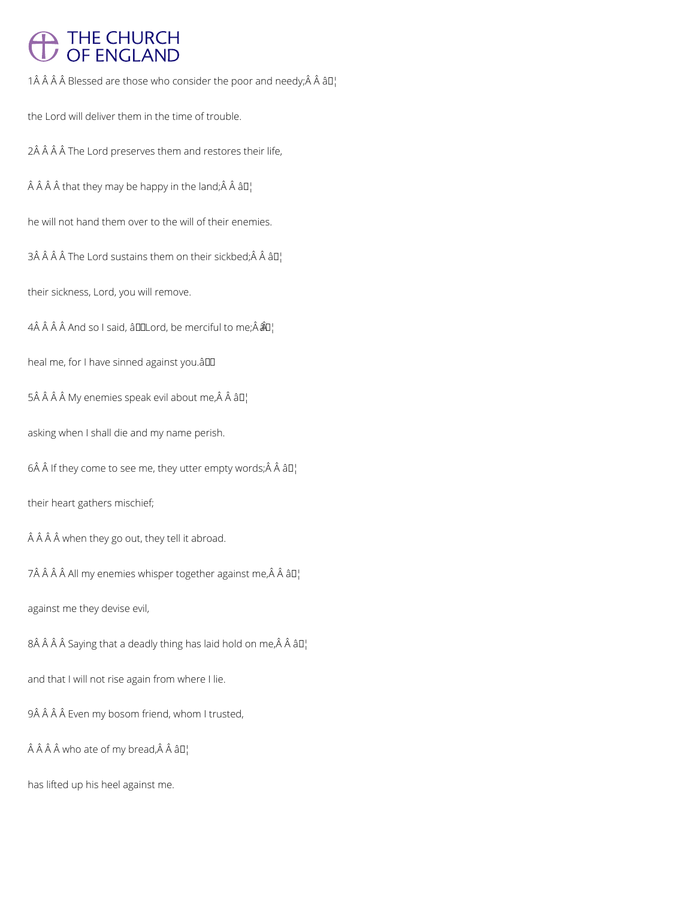# THE CHURCH<br>OF ENGLAND

1 $\hat{A}$   $\hat{A}$   $\hat{A}$   $\hat{B}$  lessed are those who consider the poor and needy; $\hat{A}$   $\hat{A}$   $\hat{a}$   $\Box$ 

the Lord will deliver them in the time of trouble.

2Â Â Â Â The Lord preserves them and restores their life,

 $\hat{A}$   $\hat{A}$   $\hat{A}$   $\hat{A}$  that they may be happy in the land;  $\hat{A}$   $\hat{A}$   $\hat{a}$   $\Box$ 

he will not hand them over to the will of their enemies.

3Â Â Â Â The Lord sustains them on their sickbed; Â Â â  $\Pi_1$ 

their sickness, Lord, you will remove.

4Â Â Â Â And so I said, â IILord, be merciful to me; Â  $\hat{a}$  l

heal me, for I have sinned against you.â

 $5\hat{A}$   $\hat{A}$   $\hat{A}$   $\hat{A}$  My enemies speak evil about me, $\hat{A}$   $\hat{A}$   $\hat{a}$   $I_I$ 

asking when I shall die and my name perish.

 $6\hat{A}$   $\hat{A}$  If they come to see me, they utter empty words; $\hat{A}$   $\hat{A}$   $\hat{a}$  $\Pi$ <sub>1</sub>

their heart gathers mischief;

 $\hat{A}$   $\hat{A}$   $\hat{A}$  when they go out, they tell it abroad.

 $7\hat{A}$   $\hat{A}$   $\hat{A}$   $\hat{A}$  All my enemies whisper together against me, $\hat{A}$   $\hat{A}$   $\hat{a}$   $\Box$ 

against me they devise evil,

 $8\hat{A}$   $\hat{A}$   $\hat{A}$  Saying that a deadly thing has laid hold on me, $\hat{A}$   $\hat{A}$   $\hat{a}$   $\Box$ 

and that I will not rise again from where I lie.

9Â Â Â Â Even my bosom friend, whom I trusted,

 $\hat{A}$   $\hat{A}$   $\hat{A}$  who ate of my bread, $\hat{A}$   $\hat{A}$   $\hat{a}$   $\Box$ 

has lifted up his heel against me.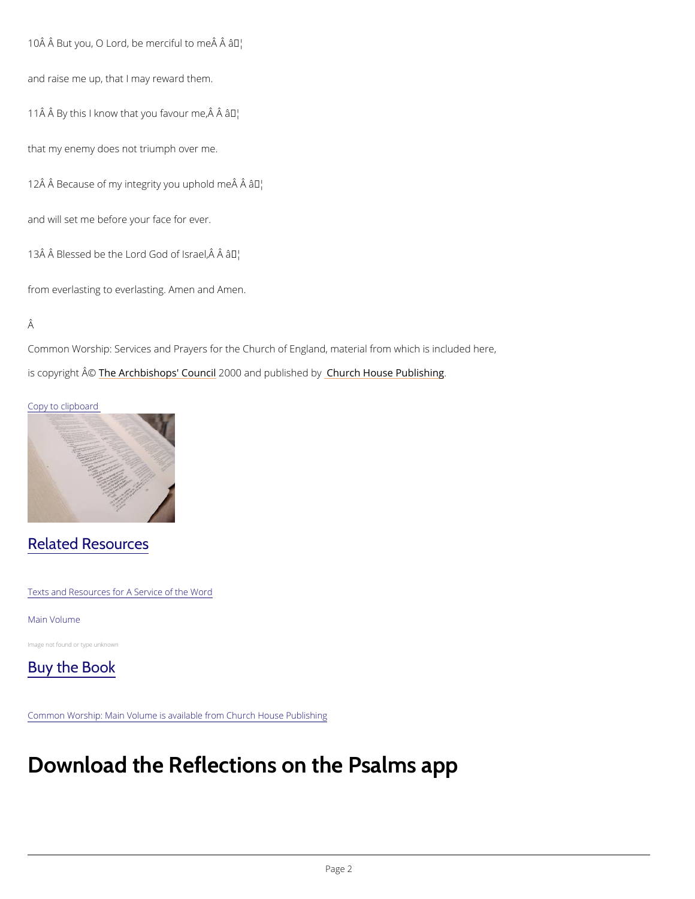10 Å Å But you, O Lord, be mæ™diful to me Å Å

and raise me up, that I may reward them.

11 $\hat{A}$   $\hat{A}$  By this I know that yo un favour me,  $\hat{A}$   $\hat{A}$ 

that my enemy does not triumph over me.

12 Â Â Because of my integrity  $\hat{\mathfrak{g}}$  o<sup>nul</sup> uphold me Â

and will set me before your face for ever.

13 $\hat{A}$   $\hat{A}$  Blessed be the Lord  $\hat{A}$  of Israel,  $\hat{A}$   $\hat{A}$ 

from everlasting to everlasting. Amen and Amen.

### Â

Common Worship: Services and Prayers for the Church of England, material from which is inc is copyrighth  $\hat{\mathbb{A}}\otimes \mathbb{A}$  rchbishops' 2000 whand publish hend roby House Publishing

## Copy to clipboard

# Related Resources

Texts and Resources for A Service of the Word

#### Main Volume

Image not found or type unknown



Common Worship: Main Volume is available from Church House Publishing

# Download the Reflections on the Psalms a